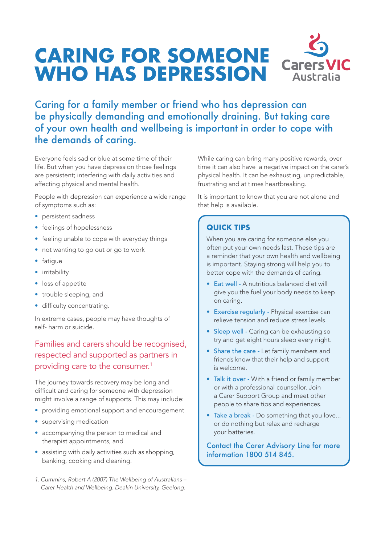# **CARING FOR SOMEONE WHO HAS DEPRESSION**



# Caring for a family member or friend who has depression can be physically demanding and emotionally draining. But taking care of your own health and wellbeing is important in order to cope with the demands of caring.

Everyone feels sad or blue at some time of their life. But when you have depression those feelings are persistent; interfering with daily activities and affecting physical and mental health.

People with depression can experience a wide range of symptoms such as:

- persistent sadness
- feelings of hopelessness
- feeling unable to cope with everyday things
- not wanting to go out or go to work
- fatigue
- irritability
- loss of appetite
- trouble sleeping, and
- difficulty concentrating.

In extreme cases, people may have thoughts of self- harm or suicide.

## Families and carers should be recognised, respected and supported as partners in providing care to the consumer.<sup>1</sup>

The journey towards recovery may be long and difficult and caring for someone with depression might involve a range of supports. This may include:

- providing emotional support and encouragement
- supervising medication
- accompanying the person to medical and therapist appointments, and
- assisting with daily activities such as shopping, banking, cooking and cleaning.
- *1. Cummins, Robert A (2007) The Wellbeing of Australians Carer Health and Wellbeing. Deakin University, Geelong.*

While caring can bring many positive rewards, over time it can also have a negative impact on the carer's physical health. It can be exhausting, unpredictable, frustrating and at times heartbreaking.

It is important to know that you are not alone and that help is available.

#### **QUICK TIPS**

When you are caring for someone else you often put your own needs last. These tips are a reminder that your own health and wellbeing is important. Staying strong will help you to better cope with the demands of caring.

- Eat well A nutritious balanced diet will give you the fuel your body needs to keep on caring.
- Exercise regularly Physical exercise can relieve tension and reduce stress levels.
- Sleep well Caring can be exhausting so try and get eight hours sleep every night.
- Share the care Let family members and friends know that their help and support is welcome.
- Talk it over With a friend or family member or with a professional counsellor. Join a Carer Support Group and meet other people to share tips and experiences.
- Take a break Do something that you love... or do nothing but relax and recharge your batteries.

Contact the Carer Advisory Line for more information 1800 514 845.